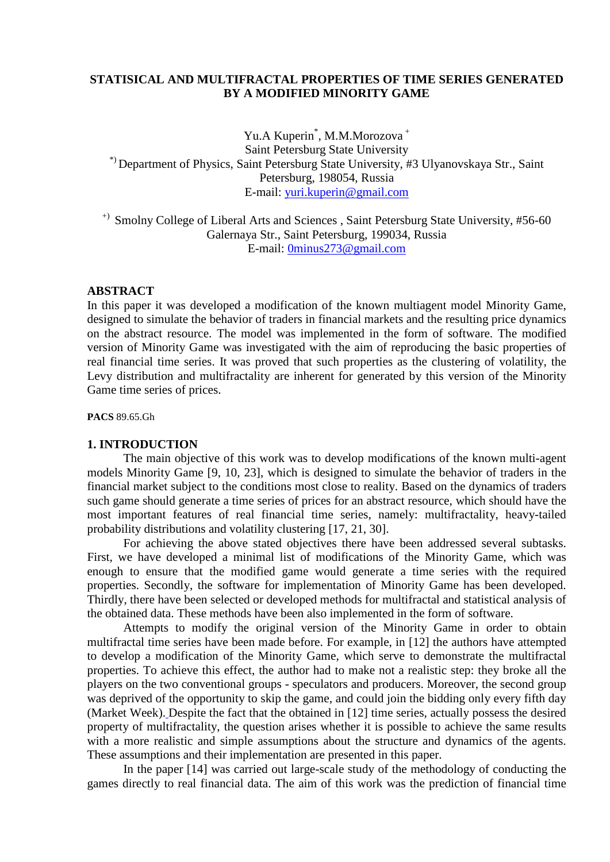# **STATISICAL AND MULTIFRACTAL PROPERTIES OF TIME SERIES GENERATED BY A MODIFIED MINORITY GAME**

Yu.A Kuperin<sup>\*</sup>, M.M.Morozova<sup>+</sup> Saint Petersburg State University \*) Department of Physics, Saint Petersburg State University, #3 Ulyanovskaya Str., Saint Petersburg, 198054, Russia E-mail: [yuri.kuperin@gmail.com](mailto:yuri.kuperin@gmail.com)

<sup>+)</sup> Smolny College of Liberal Arts and Sciences, Saint Petersburg State University, #56-60 Galernaya Str., Saint Petersburg, 199034, Russia E-mail: [0minus273@gmail.com](mailto:0minus273@gmail.com)

### **ABSTRACT**

In this paper it was developed a modification of the known multiagent model Minority Game, designed to simulate the behavior of traders in financial markets and the resulting price dynamics on the abstract resource. The model was implemented in the form of software. The modified version of Minority Game was investigated with the aim of reproducing the basic properties of real financial time series. It was proved that such properties as the clustering of volatility, the Levy distribution and multifractality are inherent for generated by this version of the Minority Game time series of prices.

**PACS** 89.65.Gh

# **1. INTRODUCTION**

The main objective of this work was to develop modifications of the known multi-agent models Minority Game [9, 10, 23], which is designed to simulate the behavior of traders in the financial market subject to the conditions most close to reality. Based on the dynamics of traders such game should generate a time series of prices for an abstract resource, which should have the most important features of real financial time series, namely: multifractality, heavy-tailed probability distributions and volatility clustering [17, 21, 30].

For achieving the above stated objectives there have been addressed several subtasks. First, we have developed a minimal list of modifications of the Minority Game, which was enough to ensure that the modified game would generate a time series with the required properties. Secondly, the software for implementation of Minority Game has been developed. Thirdly, there have been selected or developed methods for multifractal and statistical analysis of the obtained data. These methods have been also implemented in the form of software.

Attempts to modify the original version of the Minority Game in order to obtain multifractal time series have been made before. For example, in [12] the authors have attempted to develop a modification of the Minority Game, which serve to demonstrate the multifractal properties. To achieve this effect, the author had to make not a realistic step: they broke all the players on the two conventional groups - speculators and producers. Moreover, the second group was deprived of the opportunity to skip the game, and could join the bidding only every fifth day (Market Week). Despite the fact that the obtained in [12] time series, actually possess the desired property of multifractality, the question arises whether it is possible to achieve the same results with a more realistic and simple assumptions about the structure and dynamics of the agents. These assumptions and their implementation are presented in this paper.

In the paper [14] was carried out large-scale study of the methodology of conducting the games directly to real financial data. The aim of this work was the prediction of financial time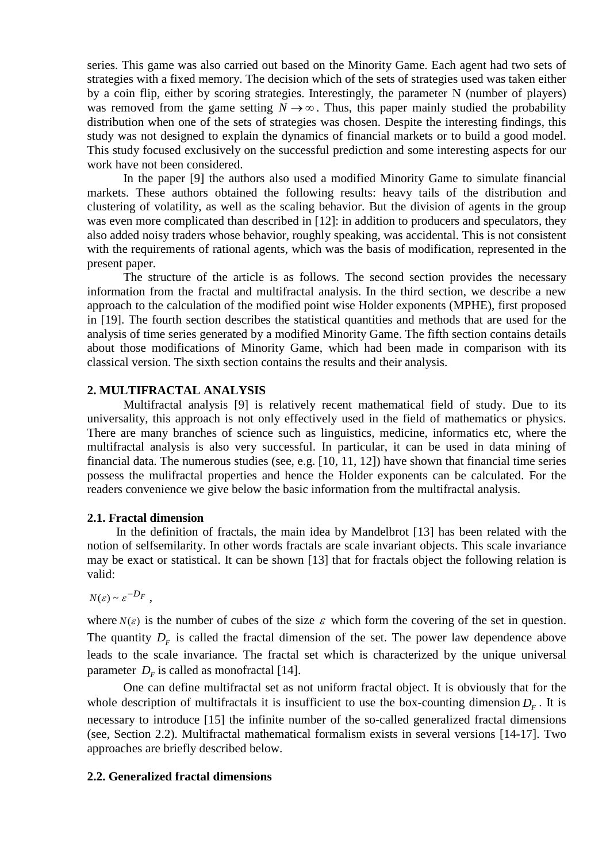series. This game was also carried out based on the Minority Game. Each agent had two sets of strategies with a fixed memory. The decision which of the sets of strategies used was taken either by a coin flip, either by scoring strategies. Interestingly, the parameter N (number of players) was removed from the game setting  $N \rightarrow \infty$ . Thus, this paper mainly studied the probability distribution when one of the sets of strategies was chosen. Despite the interesting findings, this study was not designed to explain the dynamics of financial markets or to build a good model. This study focused exclusively on the successful prediction and some interesting aspects for our work have not been considered.

In the paper [9] the authors also used a modified Minority Game to simulate financial markets. These authors obtained the following results: heavy tails of the distribution and clustering of volatility, as well as the scaling behavior. But the division of agents in the group was even more complicated than described in [12]: in addition to producers and speculators, they also added noisy traders whose behavior, roughly speaking, was accidental. This is not consistent with the requirements of rational agents, which was the basis of modification, represented in the present paper.

The structure of the article is as follows. The second section provides the necessary information from the fractal and multifractal analysis. In the third section, we describe a new approach to the calculation of the modified point wise Holder exponents (MPHE), first proposed in [19]. The fourth section describes the statistical quantities and methods that are used for the analysis of time series generated by a modified Minority Game. The fifth section contains details about those modifications of Minority Game, which had been made in comparison with its classical version. The sixth section contains the results and their analysis.

# **2. MULTIFRACTAL ANALYSIS**

Multifractal analysis [9] is relatively recent mathematical field of study. Due to its universality, this approach is not only effectively used in the field of mathematics or physics. There are many branches of science such as linguistics, medicine, informatics etc, where the multifractal analysis is also very successful. In particular, it can be used in data mining of financial data. The numerous studies (see, e.g. [10, 11, 12]) have shown that financial time series possess the mulifractal properties and hence the Holder exponents can be calculated. For the readers convenience we give below the basic information from the multifractal analysis.

## **2.1. Fractal dimension**

In the definition of fractals, the main idea by Mandelbrot [13] has been related with the notion of selfsemilarity. In other words fractals are scale invariant objects. This scale invariance may be exact or statistical. It can be shown [13] that for fractals object the following relation is valid:

 $N(\varepsilon) \sim \varepsilon^{-D_F}$ .

where  $N(\varepsilon)$  is the number of cubes of the size  $\varepsilon$  which form the covering of the set in question. The quantity  $D<sub>F</sub>$  is called the fractal dimension of the set. The power law dependence above leads to the scale invariance. The fractal set which is characterized by the unique universal parameter  $D<sub>F</sub>$  is called as monofractal [14].

One can define multifractal set as not uniform fractal object. It is obviously that for the whole description of multifractals it is insufficient to use the box-counting dimension  $D<sub>F</sub>$ . It is necessary to introduce [15] the infinite number of the so-called generalized fractal dimensions (see, Section 2.2). Multifractal mathematical formalism exists in several versions [14-17]. Two approaches are briefly described below.

## **2.2. Generalized fractal dimensions**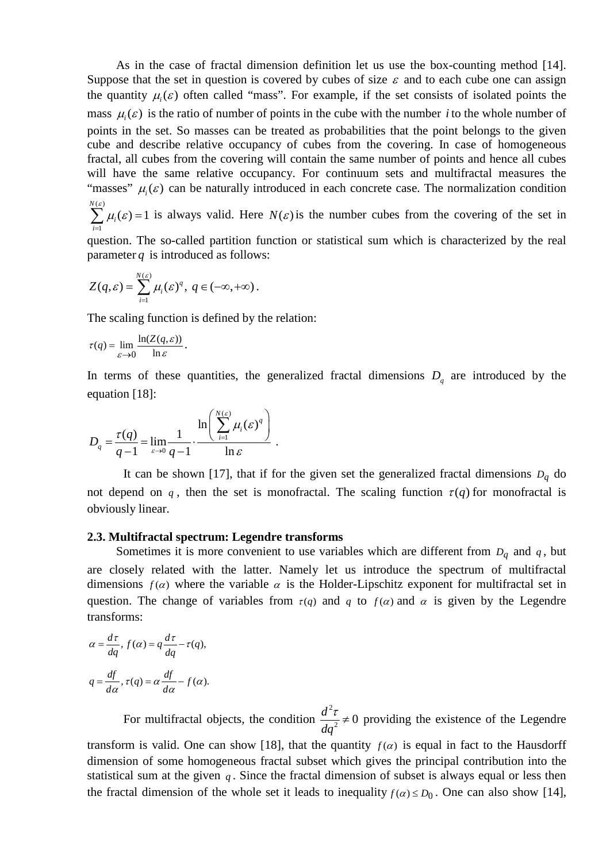As in the case of fractal dimension definition let us use the box-counting method [14]. Suppose that the set in question is covered by cubes of size  $\varepsilon$  and to each cube one can assign the quantity  $\mu_i(\varepsilon)$  often called "mass". For example, if the set consists of isolated points the mass  $\mu_i(\varepsilon)$  is the ratio of number of points in the cube with the number *i* to the whole number of points in the set. So masses can be treated as probabilities that the point belongs to the given cube and describe relative occupancy of cubes from the covering. In case of homogeneous fractal, all cubes from the covering will contain the same number of points and hence all cubes will have the same relative occupancy. For continuum sets and multifractal measures the "masses"  $\mu(\varepsilon)$  can be naturally introduced in each concrete case. The normalization condition  $(\varepsilon)$ *N* ε

1  $(\varepsilon) = 1$ *i i*  $\mu_{\scriptscriptstyle i}$  (  $\varepsilon$  $\sum_{i=1}^{n} \mu_i(\varepsilon) = 1$  is always valid. Here  $N(\varepsilon)$  is the number cubes from the covering of the set in

question. The so-called partition function or statistical sum which is characterized by the real parameter  $q$  is introduced as follows:

$$
Z(q,\varepsilon)=\sum_{i=1}^{N(\varepsilon)}\mu_i(\varepsilon)^q,\ q\in(-\infty,+\infty).
$$

The scaling function is defined by the relation:

$$
\tau(q) = \lim_{\varepsilon \to 0} \frac{\ln(Z(q, \varepsilon))}{\ln \varepsilon}.
$$

In terms of these quantities, the generalized fractal dimensions  $D<sub>a</sub>$  are introduced by the equation [18]:

$$
D_q = \frac{\tau(q)}{q-1} = \lim_{\varepsilon \to 0} \frac{1}{q-1} \cdot \frac{\ln\left(\sum_{i=1}^{N(\varepsilon)} \mu_i(\varepsilon)^q\right)}{\ln \varepsilon}.
$$

It can be shown [17], that if for the given set the generalized fractal dimensions  $D_q$  do not depend on *q*, then the set is monofractal. The scaling function  $\tau(q)$  for monofractal is obviously linear.

#### **2.3. Multifractal spectrum: Legendre transforms**

Sometimes it is more convenient to use variables which are different from  $D_q$  and  $q$ , but are closely related with the latter. Namely let us introduce the spectrum of multifractal dimensions  $f(\alpha)$  where the variable  $\alpha$  is the Holder-Lipschitz exponent for multifractal set in question. The change of variables from  $\tau(q)$  and q to  $f(\alpha)$  and  $\alpha$  is given by the Legendre transforms:

$$
\alpha = \frac{d\tau}{dq}, f(\alpha) = q\frac{d\tau}{dq} - \tau(q),
$$
  

$$
q = \frac{df}{d\alpha}, \tau(q) = \alpha\frac{df}{d\alpha} - f(\alpha).
$$

For multifractal objects, the condition  $\frac{d^2\tau}{dq^2} \neq 0$  $rac{\tau}{\tau} \neq 0$  providing the existence of the Legendre

transform is valid. One can show [18], that the quantity  $f(\alpha)$  is equal in fact to the Hausdorff dimension of some homogeneous fractal subset which gives the principal contribution into the statistical sum at the given  $q$ . Since the fractal dimension of subset is always equal or less then the fractal dimension of the whole set it leads to inequality  $f(\alpha) \le D_0$ . One can also show [14],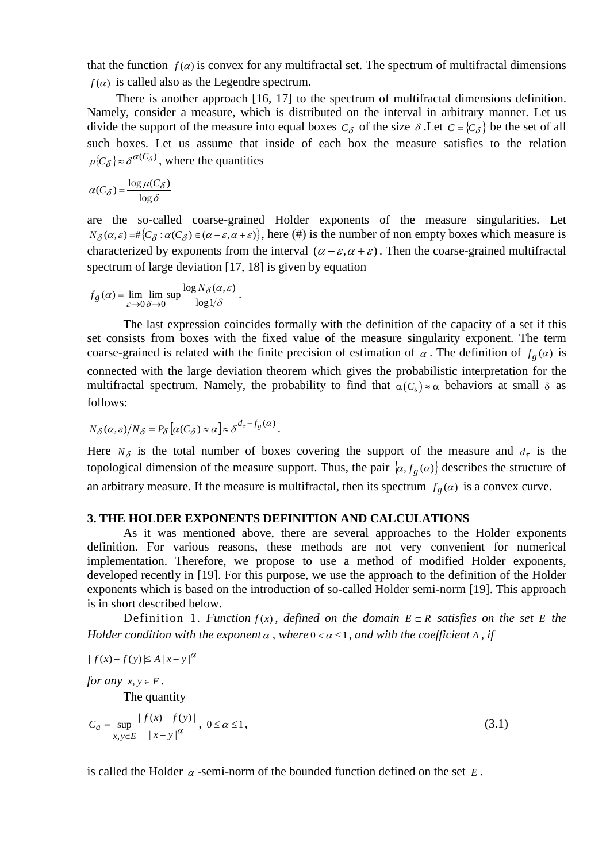that the function  $f(\alpha)$  is convex for any multifractal set. The spectrum of multifractal dimensions  $f(\alpha)$  is called also as the Legendre spectrum.

There is another approach [16, 17] to the spectrum of multifractal dimensions definition. Namely, consider a measure, which is distributed on the interval in arbitrary manner. Let us divide the support of the measure into equal boxes  $C_{\delta}$  of the size  $\delta$ . Let  $C = \{C_{\delta}\}\$ be the set of all such boxes. Let us assume that inside of each box the measure satisfies to the relation  $\mu{C_\delta} \approx \delta^{\alpha(C_\delta)}$ , where the quantities

$$
\alpha(C_{\delta}) = \frac{\log \mu(C_{\delta})}{\log \delta}
$$

are the so-called coarse-grained Holder exponents of the measure singularities. Let  $N_{\delta}(\alpha,\varepsilon) = \#\{C_{\delta} : \alpha(C_{\delta}) \in (\alpha - \varepsilon, \alpha + \varepsilon)\}\,$ , here (#) is the number of non empty boxes which measure is characterized by exponents from the interval  $(\alpha - \varepsilon, \alpha + \varepsilon)$ . Then the coarse-grained multifractal spectrum of large deviation [17, 18] is given by equation

$$
f_g(\alpha) = \lim_{\varepsilon \to 0} \lim_{\delta \to 0} \sup \frac{\log N_{\delta}(\alpha, \varepsilon)}{\log 1/\delta}.
$$

The last expression coincides formally with the definition of the capacity of a set if this set consists from boxes with the fixed value of the measure singularity exponent. The term coarse-grained is related with the finite precision of estimation of  $\alpha$ . The definition of  $f_g(\alpha)$  is connected with the large deviation theorem which gives the probabilistic interpretation for the multifractal spectrum. Namely, the probability to find that  $\alpha(C_{\delta}) \approx \alpha$  behaviors at small  $\delta$  as follows:

$$
N_{\delta}(\alpha,\varepsilon)/N_{\delta} = P_{\delta} \left[ \alpha(C_{\delta}) \approx \alpha \right] \approx \delta^{d_{\tau} - f_g(\alpha)}.
$$

Here  $N_{\delta}$  is the total number of boxes covering the support of the measure and  $d_{\tau}$  is the topological dimension of the measure support. Thus, the pair  $\langle \alpha, f_g(\alpha) \rangle$  describes the structure of an arbitrary measure. If the measure is multifractal, then its spectrum  $f_{\varrho}(\alpha)$  is a convex curve.

## **3. THE HOLDER EXPONENTS DEFINITION AND CALCULATIONS**

As it was mentioned above, there are several approaches to the Holder exponents definition. For various reasons, these methods are not very convenient for numerical implementation. Therefore, we propose to use a method of modified Holder exponents, developed recently in [19]. For this purpose, we use the approach to the definition of the Holder exponents which is based on the introduction of so-called Holder semi-norm [19]. This approach is in short described below.

Definition 1. *Function*  $f(x)$ , defined on the domain  $E \subset R$  satisfies on the set E the *Holder condition with the exponent*  $\alpha$ , where  $0 < \alpha \leq 1$ , and with the coefficient A, if

$$
|f(x)-f(y)| \le A |x-y|^{\alpha}
$$

*for any*  $x, y \in E$ .

The quantity

$$
C_a = \sup_{x,y \in E} \frac{|f(x) - f(y)|}{|x - y|^{\alpha}}, \ 0 \le a \le 1,
$$
\n(3.1)

is called the Holder  $\alpha$ -semi-norm of the bounded function defined on the set  $E$ .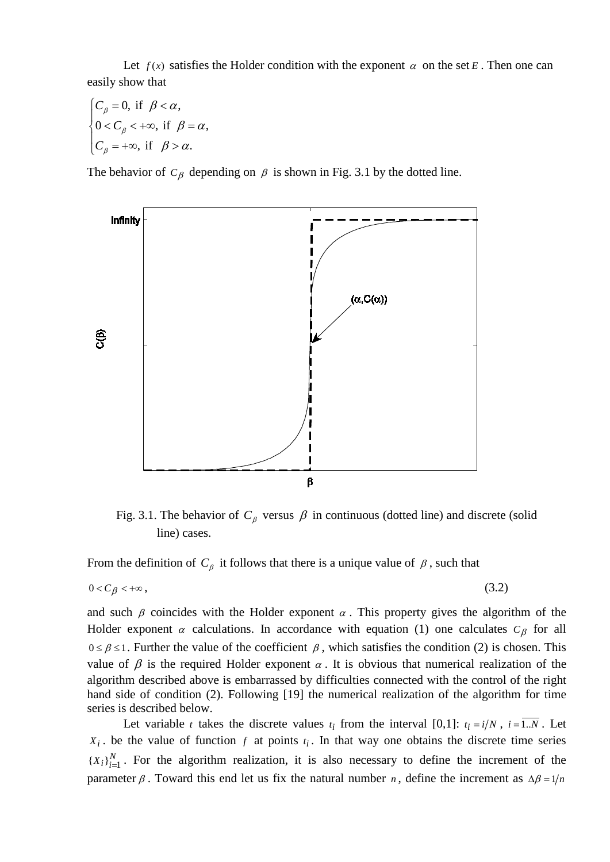Let  $f(x)$  satisfies the Holder condition with the exponent  $\alpha$  on the set *E*. Then one can easily show that

0, if  $\beta < \alpha$ ,  $0 < C_{\beta} < +\infty$ , if  $\beta = \alpha$ , , if  $\beta > \alpha$ . *C C C* β β β  $\beta < \alpha$  $\beta = \alpha$  $\beta > \alpha$  $C_{\beta} = 0$ , if  $\beta <$  $\left\{0 \lt C_{\beta} \lt +\infty, \text{ if } \beta = \right\}$  $C_{\beta} = +\infty$ , if  $\beta >$ 

The behavior of  $C_\beta$  depending on  $\beta$  is shown in Fig. 3.1 by the dotted line.



Fig. 3.1. The behavior of  $C_\beta$  versus  $\beta$  in continuous (dotted line) and discrete (solid line) cases.

From the definition of  $C_\beta$  it follows that there is a unique value of  $\beta$ , such that

$$
0 < C_{\beta} < +\infty \,, \tag{3.2}
$$

and such  $\beta$  coincides with the Holder exponent  $\alpha$ . This property gives the algorithm of the Holder exponent  $\alpha$  calculations. In accordance with equation (1) one calculates  $C_{\beta}$  for all  $0 \le \beta \le 1$ . Further the value of the coefficient  $\beta$ , which satisfies the condition (2) is chosen. This value of  $\beta$  is the required Holder exponent  $\alpha$ . It is obvious that numerical realization of the algorithm described above is embarrassed by difficulties connected with the control of the right hand side of condition (2). Following [19] the numerical realization of the algorithm for time series is described below.

Let variable *t* takes the discrete values  $t_i$  from the interval [0,1]:  $t_i = i/N$ ,  $i = \overline{1..N}$ . Let  $X_i$ . be the value of function  $f$  at points  $t_i$ . In that way one obtains the discrete time series  ${X_i}_{i=1}^N$ . For the algorithm realization, it is also necessary to define the increment of the parameter  $\beta$ . Toward this end let us fix the natural number *n*, define the increment as  $\Delta \beta = 1/n$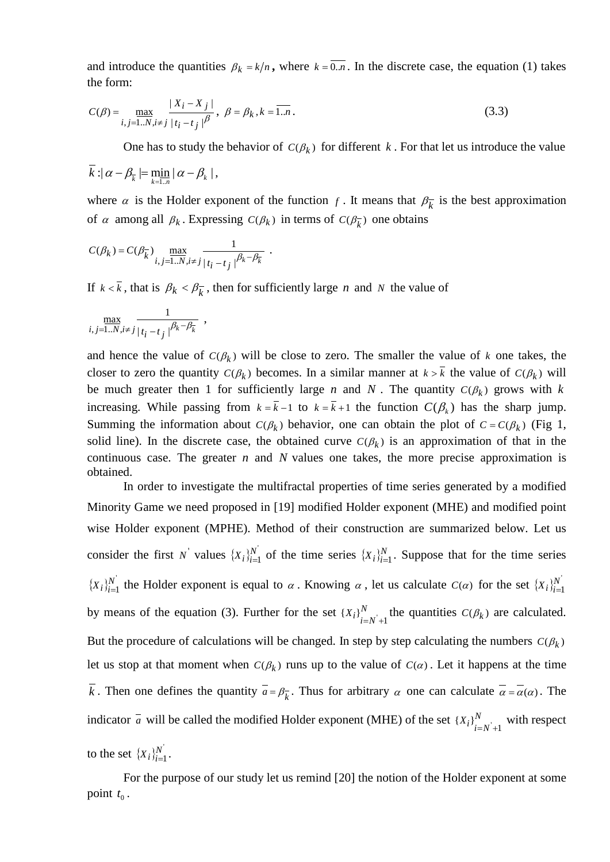and introduce the quantities  $\beta_k = k/n$ , where  $k = 0 \dots n$ . In the discrete case, the equation (1) takes the form:

$$
C(\beta) = \max_{i,j=1..N, i \neq j} \frac{|X_i - X_j|}{|t_i - t_j|^{\beta}}, \ \beta = \beta_k, k = \overline{1..n}.
$$
 (3.3)

One has to study the behavior of  $C(\beta_k)$  for different k. For that let us introduce the value

$$
\overline{k} : |\alpha - \beta_{\overline{k}}| = \min_{k=1..n} |\alpha - \beta_k|,
$$

where  $\alpha$  is the Holder exponent of the function *f*. It means that  $\beta_k^-$  is the best approximation of  $\alpha$  among all  $\beta_k$ . Expressing  $C(\beta_k)$  in terms of  $C(\beta_{\overline{k}})$  one obtains

$$
C(\beta_k) = C(\beta_k^-) \max_{i,j=1..N, i\neq j} \frac{1}{\left|t_i-t_j\right|^{\beta_k-\beta_k^-}} \ .
$$

If  $k < \overline{k}$ , that is  $\beta_k < \beta_k^-$ , then for sufficiently large *n* and *N* the value of

$$
\max_{i,j=1..N,i\neq j} \frac{1}{|t_i-t_j|^{\beta_k-\beta_k}} \;,
$$

and hence the value of  $C(\beta_k)$  will be close to zero. The smaller the value of *k* one takes, the closer to zero the quantity  $C(\beta_k)$  becomes. In a similar manner at  $k > \overline{k}$  the value of  $C(\beta_k)$  will be much greater then 1 for sufficiently large *n* and *N*. The quantity  $C(\beta_k)$  grows with *k* increasing. While passing from  $k = \overline{k} - 1$  to  $k = \overline{k} + 1$  the function  $C(\beta_k)$  has the sharp jump. Summing the information about  $C(\beta_k)$  behavior, one can obtain the plot of  $C = C(\beta_k)$  (Fig 1, solid line). In the discrete case, the obtained curve  $C(\beta_k)$  is an approximation of that in the continuous case. The greater *n* and *N* values one takes, the more precise approximation is obtained.

In order to investigate the multifractal properties of time series generated by a modified Minority Game we need proposed in [19] modified Holder exponent (MHE) and modified point wise Holder exponent (MPHE). Method of their construction are summarized below. Let us consider the first N' values  $\{X_i\}_{i=1}^{N}$  $(X_i)_{i=1}^N$  of the time series  $\{X_i\}_{i=1}^N$ . Suppose that for the time series  $\{X_i\}_{i=1}^{N}$  $X_i$ <sub>i</sub> $_i^{N'}$  the Holder exponent is equal to  $\alpha$ . Knowing  $\alpha$ , let us calculate  $C(\alpha)$  for the set  $\{X_i\}_{i=1}^{N'}$  $X_i$ <sub> $i$ </sub> $\frac{N}{i}$ by means of the equation (3). Further for the set  $\{X_i\}_{i=N+1}^N$  the quantities  $C(\beta_k)$  are calculated. But the procedure of calculations will be changed. In step by step calculating the numbers  $C(\beta_k)$ let us stop at that moment when  $C(\beta_k)$  runs up to the value of  $C(\alpha)$ . Let it happens at the time  $\overline{k}$ . Then one defines the quantity  $\overline{a} = \beta_{\overline{k}}$ . Thus for arbitrary  $\alpha$  one can calculate  $\overline{\alpha} = \overline{\alpha}(\alpha)$ . The indicator  $\overline{a}$  will be called the modified Holder exponent (MHE) of the set  $\{X_i\}_{i=N+1}^N$  with respect to the set  $\{X_i\}_{i=1}^{N}$  $X_i \}_{i=1}^N$ .

For the purpose of our study let us remind [20] the notion of the Holder exponent at some point  $t_0$ .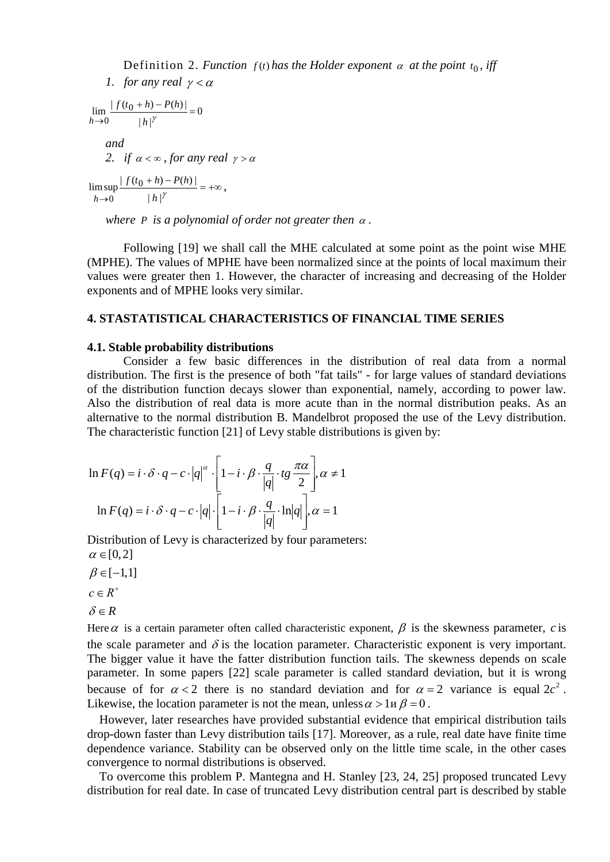Definition 2. *Function*  $f(t)$  *has the Holder exponent*  $\alpha$  *at the point*  $t_0$ *, iff* 

*1. for any real*  $\gamma < \alpha$  $\boldsymbol{0}$  $|h|$  $\lim \frac{| f(t_0 + h) - P(h) |}{h}$ 0  $rac{+ h) - P(h)}{=}$  $\rightarrow$  0 | *h*|<sup>*Y*</sup>  $f(t_0 + h) - P(h)$ *h and 2. if*  $\alpha < \infty$ *, for any real*  $\gamma > \alpha$  $+\,h)-P(h)\big| = +\infty$  $\rightarrow 0$  |  $h$ |<sup>Y</sup>  $\limsup \frac{| f(t_0 + h) - P(h) |}{h}$ 0 *h f*  $(t_0 + h) - P(h)$ *h* ,

*where P is a polynomial of order not greater then* <sup>α</sup> *.*

Following [19] we shall call the MHE calculated at some point as the point wise MHE (MPHE). The values of MPHE have been normalized since at the points of local maximum their values were greater then 1. However, the character of increasing and decreasing of the Holder exponents and of MPHE looks very similar.

# **4. STASTATISTICAL CHARACTERISTICS OF FINANCIAL TIME SERIES**

#### **4.1. Stable probability distributions**

Consider a few basic differences in the distribution of real data from a normal distribution. The first is the presence of both "fat tails" - for large values of standard deviations of the distribution function decays slower than exponential, namely, according to power law. Also the distribution of real data is more acute than in the normal distribution peaks. As an alternative to the normal distribution B. Mandelbrot proposed the use of the Levy distribution. The characteristic function [21] of Levy stable distributions is given by:

$$
\ln F(q) = i \cdot \delta \cdot q - c \cdot |q|^\alpha \cdot \left[1 - i \cdot \beta \cdot \frac{q}{|q|} \cdot tg \frac{\pi \alpha}{2}\right], \alpha \neq 1
$$
  

$$
\ln F(q) = i \cdot \delta \cdot q - c \cdot |q| \cdot \left[1 - i \cdot \beta \cdot \frac{q}{|q|} \cdot \ln|q|\right], \alpha = 1
$$

Distribution of Levy is characterized by four parameters:

 $\alpha \in [0,2]$  $\beta \in [-1,1]$  $c \in R^+$  $\delta \in R$ 

Here  $\alpha$  is a certain parameter often called characteristic exponent,  $\beta$  is the skewness parameter, *c* is the scale parameter and  $\delta$  is the location parameter. Characteristic exponent is very important. The bigger value it have the fatter distribution function tails. The skewness depends on scale parameter. In some papers [22] scale parameter is called standard deviation, but it is wrong because of for  $\alpha < 2$  there is no standard deviation and for  $\alpha = 2$  variance is equal  $2c^2$ . Likewise, the location parameter is not the mean, unless  $\alpha > 1$   $\beta = 0$ .

However, later researches have provided substantial evidence that empirical distribution tails drop-down faster than Levy distribution tails [17]. Moreover, as a rule, real date have finite time dependence variance. Stability can be observed only on the little time scale, in the other cases convergence to normal distributions is observed.

To overcome this problem P. Mantegna and H. Stanley [23, 24, 25] proposed truncated Levy distribution for real date. In case of truncated Levy distribution central part is described by stable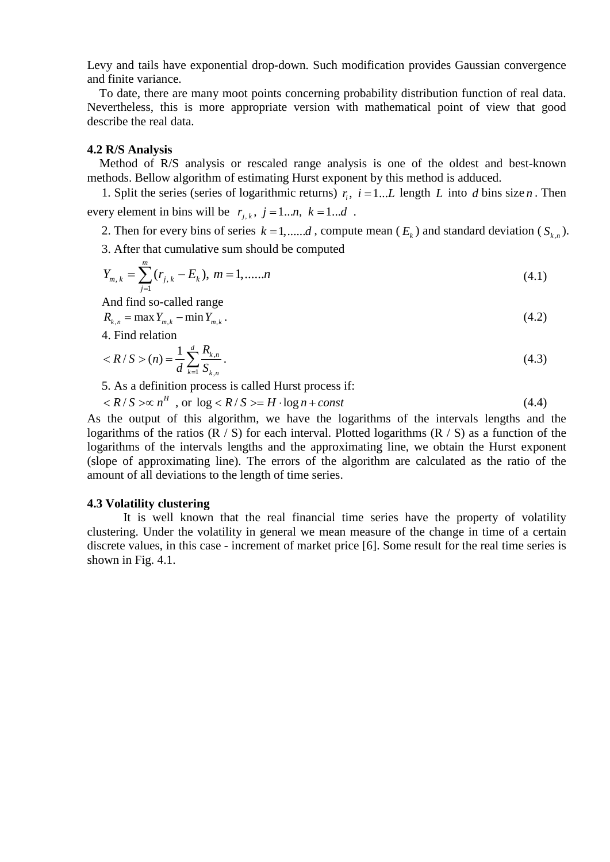Levy and tails have exponential drop-down. Such modification provides Gaussian convergence and finite variance.

To date, there are many moot points concerning probability distribution function of real data. Nevertheless, this is more appropriate version with mathematical point of view that good describe the real data.

### **4.2 R/S Analysis**

Method of R/S analysis or rescaled range analysis is one of the oldest and best-known methods. Bellow algorithm of estimating Hurst exponent by this method is adduced.

1. Split the series (series of logarithmic returns)  $r_i$ ,  $i = 1...L$  length *L* into *d* bins size *n*. Then every element in bins will be  $r_{i,k}$ ,  $j = 1...n, k = 1...d$ .

2. Then for every bins of series  $k = 1, \ldots, d$ , compute mean  $(E_k)$  and standard deviation  $(S_{k,n})$ .

3. After that cumulative sum should be computed

$$
Y_{m,k} = \sum_{j=1}^{m} (r_{j,k} - E_k), \ m = 1, \dots, n
$$
 (4.1)

And find so-called range

$$
R_{k,n} = \max Y_{m,k} - \min Y_{m,k} \,. \tag{4.2}
$$

4. Find relation

$$
\langle R/S \rangle(n) = \frac{1}{d} \sum_{k=1}^{d} \frac{R_{k,n}}{S_{k,n}}.
$$
\n(4.3)

5. As a definition process is called Hurst process if:

$$
\langle R/S \rangle \propto n^H \text{ , or } \log \langle R/S \rangle = H \cdot \log n + const \tag{4.4}
$$

As the output of this algorithm, we have the logarithms of the intervals lengths and the logarithms of the ratios  $(R / S)$  for each interval. Plotted logarithms  $(R / S)$  as a function of the logarithms of the intervals lengths and the approximating line, we obtain the Hurst exponent (slope of approximating line). The errors of the algorithm are calculated as the ratio of the amount of all deviations to the length of time series.

#### **4.3 Volatility clustering**

It is well known that the real financial time series have the property of volatility clustering. Under the volatility in general we mean measure of the change in time of a certain discrete values, in this case - increment of market price [6]. Some result for the real time series is shown in Fig. 4.1.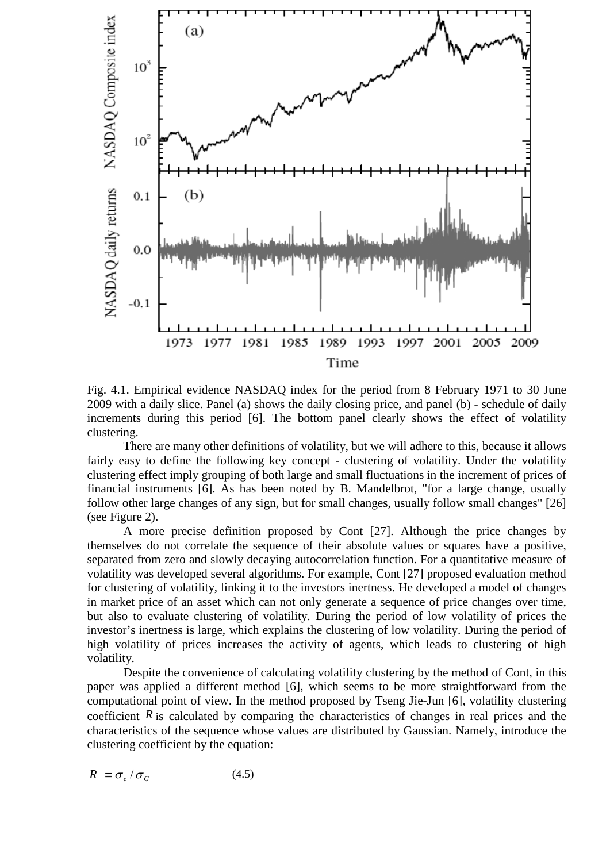

Fig. 4.1. Empirical evidence NASDAQ index for the period from 8 February 1971 to 30 June 2009 with a daily slice. Panel (a) shows the daily closing price, and panel (b) - schedule of daily increments during this period [6]. The bottom panel clearly shows the effect of volatility clustering.

There are many other definitions of volatility, but we will adhere to this, because it allows fairly easy to define the following key concept - clustering of volatility. Under the volatility clustering effect imply grouping of both large and small fluctuations in the increment of prices of financial instruments [6]. As has been noted by B. Mandelbrot, "for a large change, usually follow other large changes of any sign, but for small changes, usually follow small changes" [26] (see Figure 2).

A more precise definition proposed by Cont [27]. Although the price changes by themselves do not correlate the sequence of their absolute values or squares have a positive, separated from zero and slowly decaying autocorrelation function. For a quantitative measure of volatility was developed several algorithms. For example, Cont [27] proposed evaluation method for clustering of volatility, linking it to the investors inertness. He developed a model of changes in market price of an asset which can not only generate a sequence of price changes over time, but also to evaluate clustering of volatility. During the period of low volatility of prices the investor's inertness is large, which explains the clustering of low volatility. During the period of high volatility of prices increases the activity of agents, which leads to clustering of high volatility.

Despite the convenience of calculating volatility clustering by the method of Cont, in this paper was applied a different method [6], which seems to be more straightforward from the computational point of view. In the method proposed by Tseng Jie-Jun [6], volatility clustering coefficient *R* is calculated by comparing the characteristics of changes in real prices and the characteristics of the sequence whose values are distributed by Gaussian. Namely, introduce the clustering coefficient by the equation:

$$
R \equiv \sigma_e / \sigma_G \tag{4.5}
$$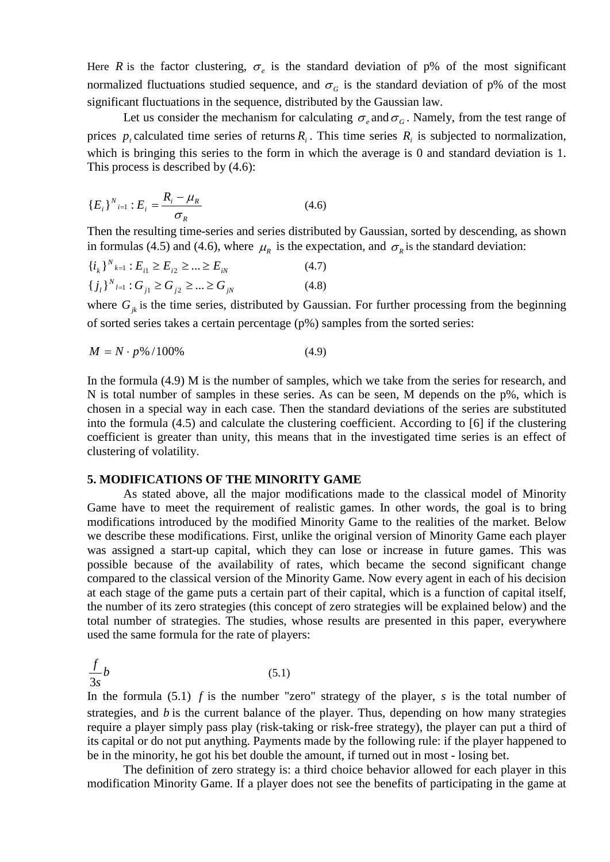Here *R* is the factor clustering,  $\sigma_e$  is the standard deviation of p% of the most significant normalized fluctuations studied sequence, and  $\sigma_G$  is the standard deviation of p% of the most significant fluctuations in the sequence, distributed by the Gaussian law.

Let us consider the mechanism for calculating  $\sigma_{\rho}$  and  $\sigma_{G}$ . Namely, from the test range of prices  $p_i$  calculated time series of returns  $R_i$ . This time series  $R_i$  is subjected to normalization, which is bringing this series to the form in which the average is 0 and standard deviation is 1. This process is described by (4.6):

$$
\{E_i\}^{N}{}_{i=1} : E_i = \frac{R_i - \mu_R}{\sigma_R} \tag{4.6}
$$

Then the resulting time-series and series distributed by Gaussian, sorted by descending, as shown in formulas (4.5) and (4.6), where  $\mu_R$  is the expectation, and  $\sigma_R$  is the standard deviation:

$$
\{i_k\}_{k=1}^N : E_{i1} \ge E_{i2} \ge \dots \ge E_{iN}
$$
\n
$$
\{j_l\}_{l=1}^N : G_{j1} \ge G_{j2} \ge \dots \ge G_{jN}
$$
\n
$$
(4.8)
$$

where  $G_{jk}$  is the time series, distributed by Gaussian. For further processing from the beginning of sorted series takes a certain percentage (p%) samples from the sorted series:

$$
M = N \cdot p\% / 100\% \tag{4.9}
$$

In the formula (4.9) M is the number of samples, which we take from the series for research, and N is total number of samples in these series. As can be seen, M depends on the p%, which is chosen in a special way in each case. Then the standard deviations of the series are substituted into the formula (4.5) and calculate the clustering coefficient. According to [6] if the clustering coefficient is greater than unity, this means that in the investigated time series is an effect of clustering of volatility.

### **5. MODIFICATIONS OF THE MINORITY GAME**

As stated above, all the major modifications made to the classical model of Minority Game have to meet the requirement of realistic games. In other words, the goal is to bring modifications introduced by the modified Minority Game to the realities of the market. Below we describe these modifications. First, unlike the original version of Minority Game each player was assigned a start-up capital, which they can lose or increase in future games. This was possible because of the availability of rates, which became the second significant change compared to the classical version of the Minority Game. Now every agent in each of his decision at each stage of the game puts a certain part of their capital, which is a function of capital itself, the number of its zero strategies (this concept of zero strategies will be explained below) and the total number of strategies. The studies, whose results are presented in this paper, everywhere used the same formula for the rate of players:

$$
\frac{f}{3s}b\tag{5.1}
$$

In the formula (5.1) *f* is the number "zero" strategy of the player, *s* is the total number of strategies, and *b* is the current balance of the player. Thus, depending on how many strategies require a player simply pass play (risk-taking or risk-free strategy), the player can put a third of its capital or do not put anything. Payments made by the following rule: if the player happened to be in the minority, he got his bet double the amount, if turned out in most - losing bet.

The definition of zero strategy is: a third choice behavior allowed for each player in this modification Minority Game. If a player does not see the benefits of participating in the game at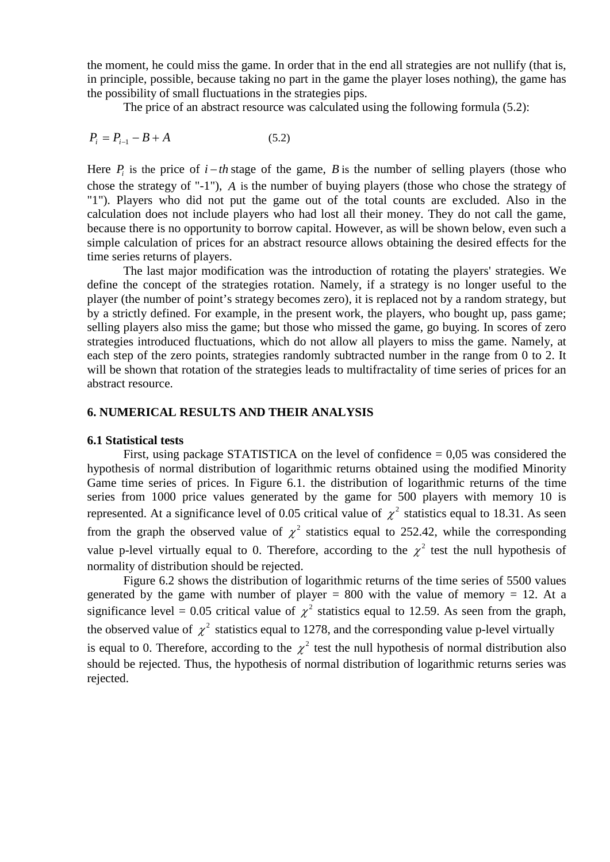the moment, he could miss the game. In order that in the end all strategies are not nullify (that is, in principle, possible, because taking no part in the game the player loses nothing), the game has the possibility of small fluctuations in the strategies pips.

The price of an abstract resource was calculated using the following formula (5.2):

$$
P_i = P_{i-1} - B + A \tag{5.2}
$$

Here  $P_i$  is the price of  $i - th$  stage of the game, *B* is the number of selling players (those who chose the strategy of "-1"), *A* is the number of buying players (those who chose the strategy of "1"). Players who did not put the game out of the total counts are excluded. Also in the calculation does not include players who had lost all their money. They do not call the game, because there is no opportunity to borrow capital. However, as will be shown below, even such a simple calculation of prices for an abstract resource allows obtaining the desired effects for the time series returns of players.

The last major modification was the introduction of rotating the players' strategies. We define the concept of the strategies rotation. Namely, if a strategy is no longer useful to the player (the number of point's strategy becomes zero), it is replaced not by a random strategy, but by a strictly defined. For example, in the present work, the players, who bought up, pass game; selling players also miss the game; but those who missed the game, go buying. In scores of zero strategies introduced fluctuations, which do not allow all players to miss the game. Namely, at each step of the zero points, strategies randomly subtracted number in the range from 0 to 2. It will be shown that rotation of the strategies leads to multifractality of time series of prices for an abstract resource.

# **6. NUMERICAL RESULTS AND THEIR ANALYSIS**

# **6.1 Statistical tests**

First, using package STATISTICA on the level of confidence  $= 0.05$  was considered the hypothesis of normal distribution of logarithmic returns obtained using the modified Minority Game time series of prices. In Figure 6.1. the distribution of logarithmic returns of the time series from 1000 price values generated by the game for 500 players with memory 10 is represented. At a significance level of 0.05 critical value of  $\gamma^2$  statistics equal to 18.31. As seen from the graph the observed value of  $\chi^2$  statistics equal to 252.42, while the corresponding value p-level virtually equal to 0. Therefore, according to the  $\chi^2$  test the null hypothesis of normality of distribution should be rejected.

Figure 6.2 shows the distribution of logarithmic returns of the time series of 5500 values generated by the game with number of player  $= 800$  with the value of memory  $= 12$ . At a significance level = 0.05 critical value of  $\gamma^2$  statistics equal to 12.59. As seen from the graph, the observed value of  $\chi^2$  statistics equal to 1278, and the corresponding value p-level virtually is equal to 0. Therefore, according to the  $\chi^2$  test the null hypothesis of normal distribution also should be rejected. Thus, the hypothesis of normal distribution of logarithmic returns series was rejected.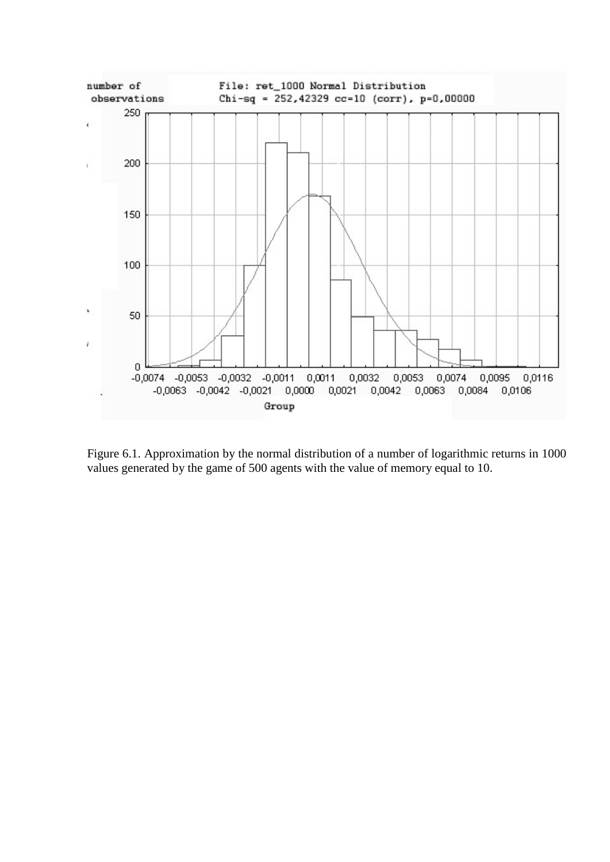

Figure 6.1. Approximation by the normal distribution of a number of logarithmic returns in 1000 values generated by the game of 500 agents with the value of memory equal to 10.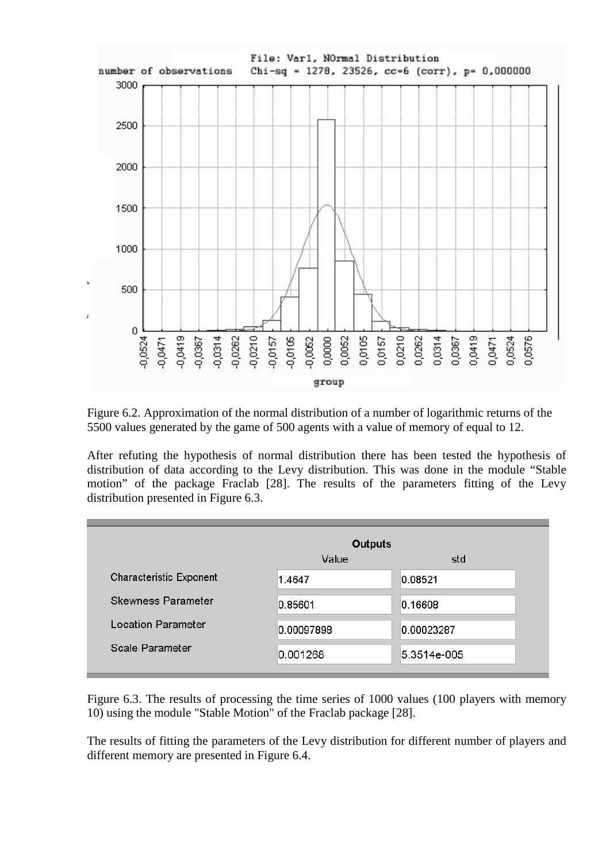

Figure 6.2. Approximation of the normal distribution of a number of logarithmic returns of the 5500 values generated by the game of 500 agents with a value of memory of equal to 12.

After refuting the hypothesis of normal distribution there has been tested the hypothesis of distribution of data according to the Levy distribution. This was done in the module "Stable motion" of the package Fraclab [28]. The results of the parameters fitting of the Levy distribution presented in Figure 6.3.

|                           | <b>Outputs</b> |             |
|---------------------------|----------------|-------------|
|                           | Value          | std         |
| Characteristic Exponent   | 1.4647         | 0.08521     |
| <b>Skewness Parameter</b> | 0.85601        | 0.16608     |
| <b>Location Parameter</b> | 0.00097898     | 0.00023287  |
| Scale Parameter           | 0.001268       | 5.3514e-005 |

Figure 6.3. The results of processing the time series of 1000 values (100 players with memory 10) using the module "Stable Motion" of the Fraclab package [28].

The results of fitting the parameters of the Levy distribution for different number of players and different memory are presented in Figure 6.4.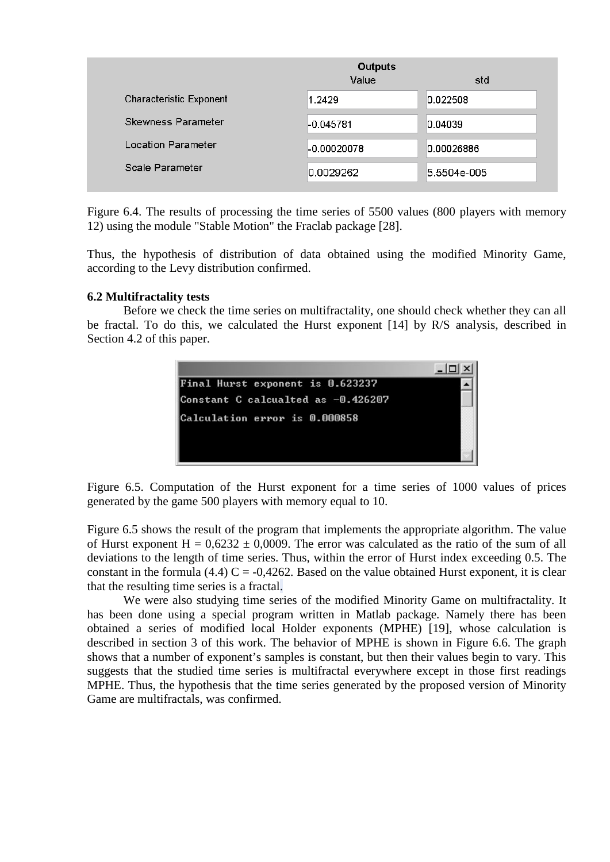|                           | <b>Outputs</b><br>Value | std         |
|---------------------------|-------------------------|-------------|
| Characteristic Exponent   | 1.2429                  | 0.022508    |
| <b>Skewness Parameter</b> | -0.045781               | 0.04039     |
| <b>Location Parameter</b> | $-0.00020078$           | 0.00026886  |
| Scale Parameter           | 0.0029262               | 5.5504e-005 |

Figure 6.4. The results of processing the time series of 5500 values (800 players with memory 12) using the module "Stable Motion" the Fraclab package [28].

Thus, the hypothesis of distribution of data obtained using the modified Minority Game, according to the Levy distribution confirmed.

# **6.2 Multifractality tests**

Before we check the time series on multifractality, one should check whether they can all be fractal. To do this, we calculated the Hurst exponent [14] by R/S analysis, described in Section 4.2 of this paper.



Figure 6.5. Computation of the Hurst exponent for a time series of 1000 values of prices generated by the game 500 players with memory equal to 10.

Figure 6.5 shows the result of the program that implements the appropriate algorithm. The value of Hurst exponent  $H = 0.6232 \pm 0.0009$ . The error was calculated as the ratio of the sum of all deviations to the length of time series. Thus, within the error of Hurst index exceeding 0.5. The constant in the formula (4.4)  $C = -0.4262$ . Based on the value obtained Hurst exponent, it is clear that the resulting time series is a fractal.

We were also studying time series of the modified Minority Game on multifractality. It has been done using a special program written in Matlab package. Namely there has been obtained a series of modified local Holder exponents (MPHE) [19], whose calculation is described in section 3 of this work. The behavior of MPHE is shown in Figure 6.6. The graph shows that a number of exponent's samples is constant, but then their values begin to vary. This suggests that the studied time series is multifractal everywhere except in those first readings MPHE. Thus, the hypothesis that the time series generated by the proposed version of Minority Game are multifractals, was confirmed.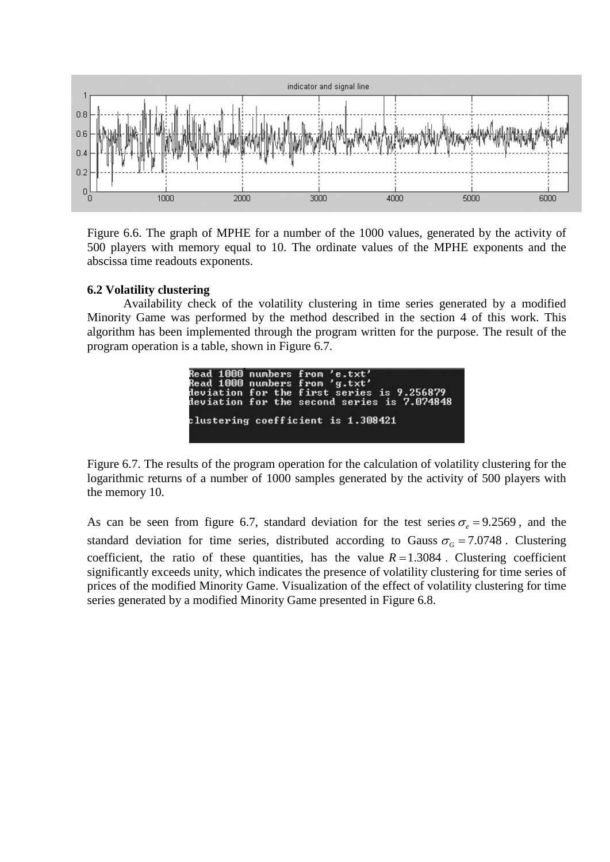

Figure 6.6. The graph of MPHE for a number of the 1000 values, generated by the activity of 500 players with memory equal to 10. The ordinate values of the MPHE exponents and the abscissa time readouts exponents.

# **6.2 Volatility clustering**

Availability check of the volatility clustering in time series generated by a modified Minority Game was performed by the method described in the section 4 of this work. This algorithm has been implemented through the program written for the purpose. The result of the program operation is a table, shown in Figure 6.7.

|  | Read 1000 numbers from 'e.txt'<br>Read 1000 numbers from 'g.txt'<br>deviation for the first series is 9.256879<br>deviation for the second series is 7.074848 |
|--|---------------------------------------------------------------------------------------------------------------------------------------------------------------|
|  | clustering coefficient is 1.308421                                                                                                                            |

Figure 6.7. The results of the program operation for the calculation of volatility clustering for the logarithmic returns of a number of 1000 samples generated by the activity of 500 players with the memory 10.

As can be seen from figure 6.7, standard deviation for the test series  $\sigma$  = 9.2569, and the standard deviation for time series, distributed according to Gauss  $\sigma_G = 7.0748$ . Clustering coefficient, the ratio of these quantities, has the value  $R = 1.3084$ . Clustering coefficient significantly exceeds unity, which indicates the presence of volatility clustering for time series of prices of the modified Minority Game. Visualization of the effect of volatility clustering for time series generated by a modified Minority Game presented in Figure 6.8.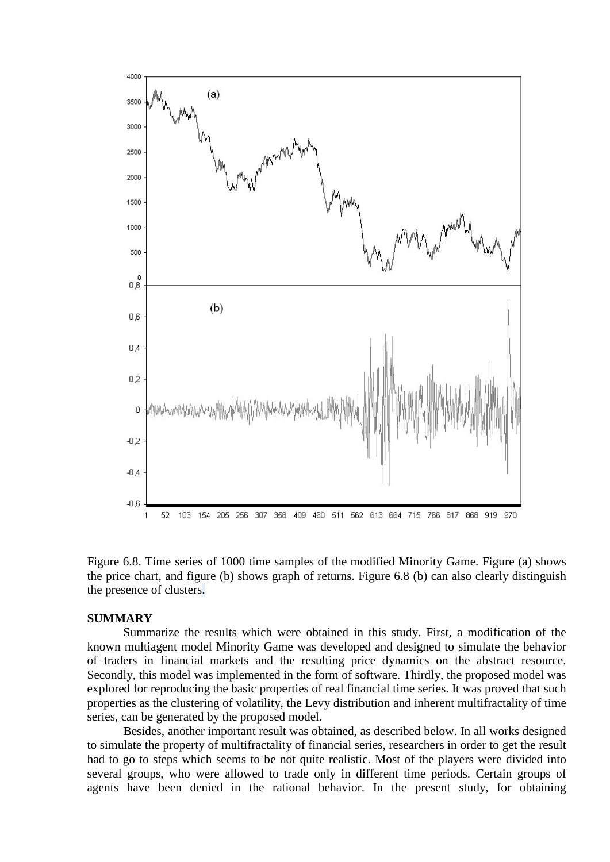

Figure 6.8. Time series of 1000 time samples of the modified Minority Game. Figure (a) shows the price chart, and figure (b) shows graph of returns. Figure 6.8 (b) can also clearly distinguish the presence of clusters.

## **SUMMARY**

Summarize the results which were obtained in this study. First, a modification of the known multiagent model Minority Game was developed and designed to simulate the behavior of traders in financial markets and the resulting price dynamics on the abstract resource. Secondly, this model was implemented in the form of software. Thirdly, the proposed model was explored for reproducing the basic properties of real financial time series. It was proved that such properties as the clustering of volatility, the Levy distribution and inherent multifractality of time series, can be generated by the proposed model.

Besides, another important result was obtained, as described below. In all works designed to simulate the property of multifractality of financial series, researchers in order to get the result had to go to steps which seems to be not quite realistic. Most of the players were divided into several groups, who were allowed to trade only in different time periods. Certain groups of agents have been denied in the rational behavior. In the present study, for obtaining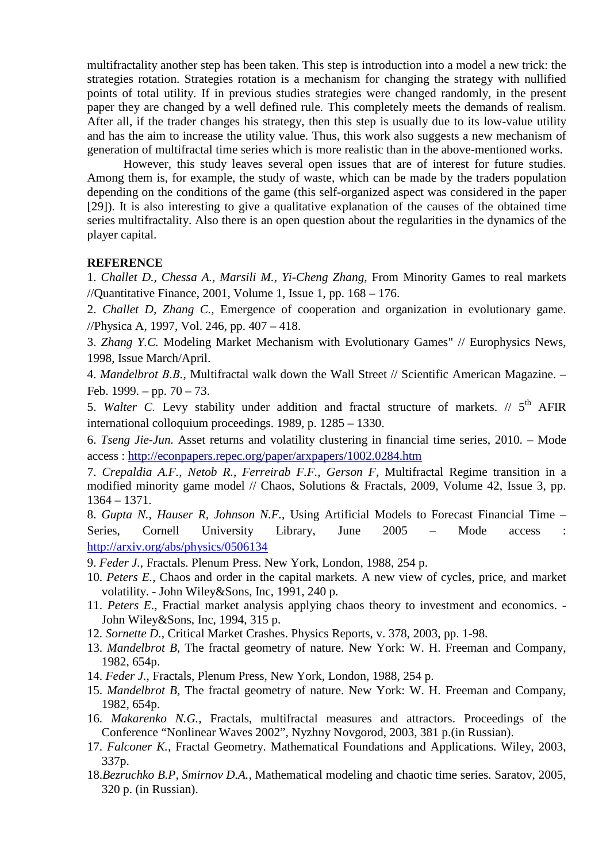multifractality another step has been taken. This step is introduction into a model a new trick: the strategies rotation. Strategies rotation is a mechanism for changing the strategy with nullified points of total utility. If in previous studies strategies were changed randomly, in the present paper they are changed by a well defined rule. This completely meets the demands of realism. After all, if the trader changes his strategy, then this step is usually due to its low-value utility and has the aim to increase the utility value. Thus, this work also suggests a new mechanism of generation of multifractal time series which is more realistic than in the above-mentioned works.

However, this study leaves several open issues that are of interest for future studies. Among them is, for example, the study of waste, which can be made by the traders population depending on the conditions of the game (this self-organized aspect was considered in the paper [29]). It is also interesting to give a qualitative explanation of the causes of the obtained time series multifractality. Also there is an open question about the regularities in the dynamics of the player capital.

# **REFERENCE**

1. *Challet D., Chessa A., Marsili M., Yi-Cheng Zhang*, From Minority Games to real markets //Quantitative Finance, 2001, Volume 1, Issue 1, pp. 168 – 176.

2. *Challet D, Zhang C.,* Emergence of cooperation and organization in evolutionary game. //Physica A, 1997, Vol. 246, pp. 407 – 418.

3. *Zhang Y.C.* Modeling Market Mechanism with Evolutionary Games" // Europhysics News, 1998, Issue March/April.

4. *Mandelbrot В.В.*, Multifractal walk down the Wall Street // Scientific American Magazine. – Feb. 1999. – pp.  $70 - 73$ .

5. *Walter C*. Levy stability under addition and fractal structure of markets. // 5<sup>th</sup> AFIR international colloquium proceedings. 1989, p. 1285 – 1330.

6. *Tseng Jie-Jun.* Asset returns and volatility clustering in financial time series, 2010. – Mode access :<http://econpapers.repec.org/paper/arxpapers/1002.0284.htm>

7. *Crepaldia A.F.*, *Netob R., Ferreirab F.F., Gerson F,* Multifractal Regime transition in a modified minority game model // Chaos, Solutions & Fractals, 2009, Volume 42, Issue 3, pp. 1364 – 1371.

8. *Gupta N., Hauser R, Johnson N.F.,* Using Artificial Models to Forecast Financial Time – Series, Cornell University Library, June 2005 – Mode access : <http://arxiv.org/abs/physics/0506134>

9. *Feder J.,* Fractals. Plenum Press. New York, London, 1988, 254 p.

- 10. *Peters E.,* Chaos and order in the capital markets. A new view of cycles, price, and market volatility. - John Wiley&Sons, Inc, 1991, 240 p.
- 11. *Peters E*., Fractial market analysis applying chaos theory to investment and economics. John Wiley&Sons, Inc, 1994, 315 p.
- 12. *Sornette D.,* Critical Market Crashes. Physics Reports, v. 378, 2003, pp. 1-98.
- 13. *Mandelbrot B,* The fractal geometry of nature. New York: W. H. Freeman and Company, 1982, 654p.
- 14. *Feder J.,* Fractals, Plenum Press, New York, London, 1988, 254 p.
- 15. *Mandelbrot B,* The fractal geometry of nature. New York: W. H. Freeman and Company, 1982, 654p.
- 16. *Makarenko N.G.,* Fractals, multifractal measures and attractors. Proceedings of the Conference "Nonlinear Waves 2002", Nyzhny Novgorod, 2003, 381 p.(in Russian).
- 17. *Falconer K.,* Fractal Geometry. Mathematical Foundations and Applications. Wiley, 2003, 337p.
- 18.*Bezruchko B.P, Smirnov D.A.,* Mathematical modeling and chaotic time series. Saratov, 2005, 320 p. (in Russian).